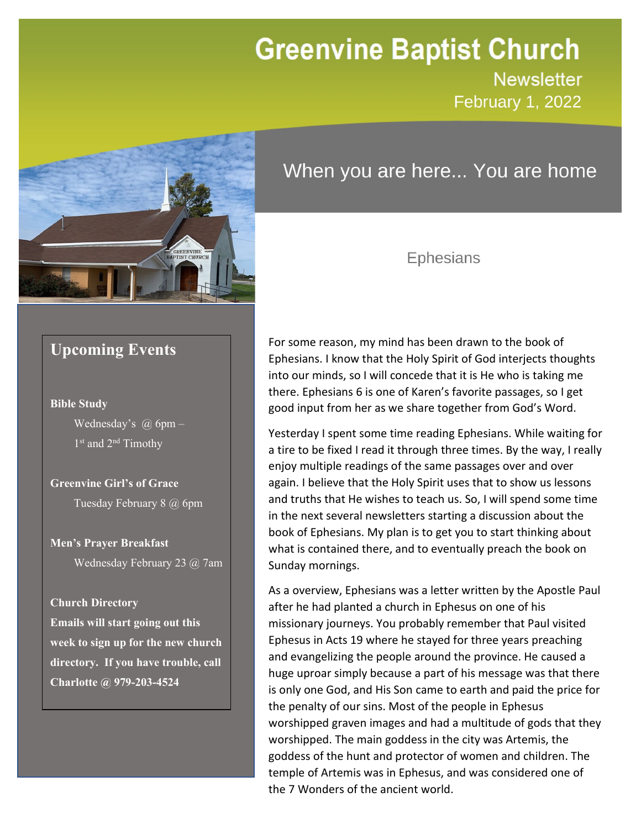# **Greenvine Baptist Church**

**Newsletter February 1, 2022** 



# When you are here... You are home

### Ephesians

## **Upcoming Events**

#### **Bible Study**

Wednesday's  $\omega$  6pm – 1<sup>st</sup> and 2<sup>nd</sup> Timothy

**Greenvine Girl's of Grace** Tuesday February 8 @ 6pm

**Men's Prayer Breakfast** Wednesday February 23 @ 7am

#### **Church Directory**

**Emails will start going out this week to sign up for the new church directory. If you have trouble, call Charlotte @ 979-203-4524**

For some reason, my mind has been drawn to the book of Ephesians. I know that the Holy Spirit of God interjects thoughts into our minds, so I will concede that it is He who is taking me there. Ephesians 6 is one of Karen's favorite passages, so I get good input from her as we share together from God's Word. Newsletter

Yesterday I spent some time reading Ephesians. While waiting for a tire to be fixed I read it through three times. By the way, I really enjoy multiple readings of the same passages over and over again. I believe that the Holy Spirit uses that to show us lessons and truths that He wishes to teach us. So, I will spend some time in the next several newsletters starting a discussion about the book of Ephesians. My plan is to get you to start thinking about what is contained there, and to eventually preach the book on Sunday mornings.

As a overview, Ephesians was a letter written by the Apostle Paul after he had planted a church in Ephesus on one of his missionary journeys. You probably remember that Paul visited Ephesus in Acts 19 where he stayed for three years preaching and evangelizing the people around the province. He caused a huge uproar simply because a part of his message was that there is only one God, and His Son came to earth and paid the price for the penalty of our sins. Most of the people in Ephesus worshipped graven images and had a multitude of gods that they worshipped. The main goddess in the city was Artemis, the goddess of the hunt and protector of women and children. The temple of Artemis was in Ephesus, and was considered one of the 7 Wonders of the ancient world.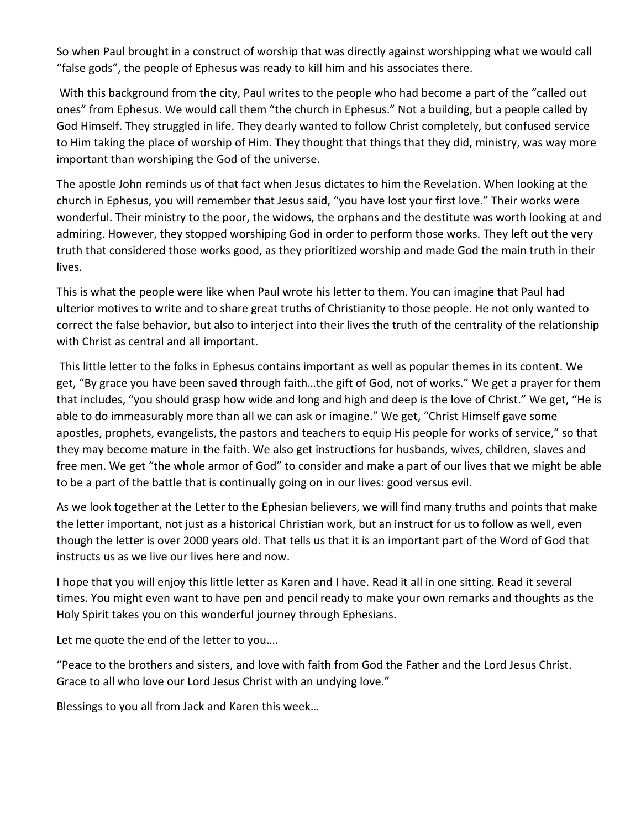So when Paul brought in a construct of worship that was directly against worshipping what we would call "false gods", the people of Ephesus was ready to kill him and his associates there.

With this background from the city, Paul writes to the people who had become a part of the "called out ones" from Ephesus. We would call them "the church in Ephesus." Not a building, but a people called by God Himself. They struggled in life. They dearly wanted to follow Christ completely, but confused service to Him taking the place of worship of Him. They thought that things that they did, ministry, was way more important than worshiping the God of the universe.

The apostle John reminds us of that fact when Jesus dictates to him the Revelation. When looking at the church in Ephesus, you will remember that Jesus said, "you have lost your first love." Their works were wonderful. Their ministry to the poor, the widows, the orphans and the destitute was worth looking at and admiring. However, they stopped worshiping God in order to perform those works. They left out the very truth that considered those works good, as they prioritized worship and made God the main truth in their lives.

This is what the people were like when Paul wrote his letter to them. You can imagine that Paul had ulterior motives to write and to share great truths of Christianity to those people. He not only wanted to correct the false behavior, but also to interject into their lives the truth of the centrality of the relationship with Christ as central and all important.

This little letter to the folks in Ephesus contains important as well as popular themes in its content. We get, "By grace you have been saved through faith…the gift of God, not of works." We get a prayer for them that includes, "you should grasp how wide and long and high and deep is the love of Christ." We get, "He is able to do immeasurably more than all we can ask or imagine." We get, "Christ Himself gave some apostles, prophets, evangelists, the pastors and teachers to equip His people for works of service," so that they may become mature in the faith. We also get instructions for husbands, wives, children, slaves and free men. We get "the whole armor of God" to consider and make a part of our lives that we might be able to be a part of the battle that is continually going on in our lives: good versus evil.

As we look together at the Letter to the Ephesian believers, we will find many truths and points that make the letter important, not just as a historical Christian work, but an instruct for us to follow as well, even though the letter is over 2000 years old. That tells us that it is an important part of the Word of God that instructs us as we live our lives here and now.

I hope that you will enjoy this little letter as Karen and I have. Read it all in one sitting. Read it several times. You might even want to have pen and pencil ready to make your own remarks and thoughts as the Holy Spirit takes you on this wonderful journey through Ephesians.

Let me quote the end of the letter to you….

"Peace to the brothers and sisters, and love with faith from God the Father and the Lord Jesus Christ. Grace to all who love our Lord Jesus Christ with an undying love."

Blessings to you all from Jack and Karen this week…